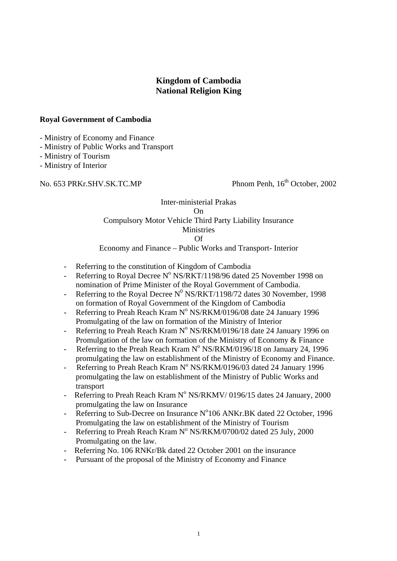# **Kingdom of Cambodia National Religion King**

### **Royal Government of Cambodia**

- Ministry of Economy and Finance

- Ministry of Public Works and Transport

- Ministry of Tourism

- Ministry of Interior

No. 653 PRKr.SHV.SK.TC.MP Phnom Penh, 16<sup>th</sup> October, 2002

### Inter-ministerial Prakas On Compulsory Motor Vehicle Third Party Liability Insurance Ministries Of

# Economy and Finance – Public Works and Transport- Interior

- Referring to the constitution of Kingdom of Cambodia
- Referring to Royal Decree N° NS/RKT/1198/96 dated 25 November 1998 on nomination of Prime Minister of the Royal Government of Cambodia.
- Referring to the Royal Decree  $N^0$  NS/RKT/1198/72 dates 30 November, 1998 on formation of Royal Government of the Kingdom of Cambodia
- Referring to Preah Reach Kram Nº NS/RKM/0196/08 date 24 January 1996 Promulgating of the law on formation of the Ministry of Interior
- Referring to Preah Reach Kram  $N^{\circ}$  NS/RKM/0196/18 date 24 January 1996 on Promulgation of the law on formation of the Ministry of Economy & Finance
- Referring to the Preah Reach Kram  $N^{\circ}$  NS/RKM/0196/18 on January 24, 1996 promulgating the law on establishment of the Ministry of Economy and Finance.
- Referring to Preah Reach Kram N° NS/RKM/0196/03 dated 24 January 1996 promulgating the law on establishment of the Ministry of Public Works and transport
- Referring to Preah Reach Kram  $N^{\circ}$  NS/RKMV/ 0196/15 dates 24 January, 2000 promulgating the law on Insurance
- Referring to Sub-Decree on Insurance N°106 ANKr.BK dated 22 October, 1996 Promulgating the law on establishment of the Ministry of Tourism
- Referring to Preah Reach Kram N° NS/RKM/0700/02 dated 25 July, 2000 Promulgating on the law.
- Referring No. 106 RNKr/Bk dated 22 October 2001 on the insurance
- Pursuant of the proposal of the Ministry of Economy and Finance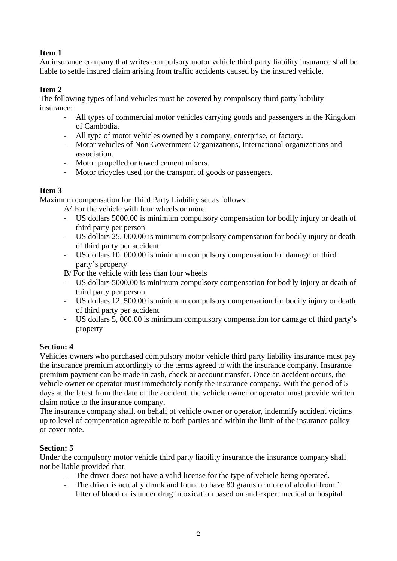# **Item 1**

An insurance company that writes compulsory motor vehicle third party liability insurance shall be liable to settle insured claim arising from traffic accidents caused by the insured vehicle.

## **Item 2**

The following types of land vehicles must be covered by compulsory third party liability insurance:

- All types of commercial motor vehicles carrying goods and passengers in the Kingdom of Cambodia.
- All type of motor vehicles owned by a company, enterprise, or factory.
- Motor vehicles of Non-Government Organizations, International organizations and association.
- Motor propelled or towed cement mixers.
- Motor tricycles used for the transport of goods or passengers.

# **Item 3**

Maximum compensation for Third Party Liability set as follows:

A/ For the vehicle with four wheels or more

- US dollars 5000.00 is minimum compulsory compensation for bodily injury or death of third party per person
- US dollars 25, 000.00 is minimum compulsory compensation for bodily injury or death of third party per accident
- US dollars 10, 000.00 is minimum compulsory compensation for damage of third party's property
- B/ For the vehicle with less than four wheels
- US dollars 5000.00 is minimum compulsory compensation for bodily injury or death of third party per person
- US dollars 12, 500.00 is minimum compulsory compensation for bodily injury or death of third party per accident
- US dollars 5, 000.00 is minimum compulsory compensation for damage of third party's property

## **Section: 4**

Vehicles owners who purchased compulsory motor vehicle third party liability insurance must pay the insurance premium accordingly to the terms agreed to with the insurance company. Insurance premium payment can be made in cash, check or account transfer. Once an accident occurs, the vehicle owner or operator must immediately notify the insurance company. With the period of 5 days at the latest from the date of the accident, the vehicle owner or operator must provide written claim notice to the insurance company.

The insurance company shall, on behalf of vehicle owner or operator, indemnify accident victims up to level of compensation agreeable to both parties and within the limit of the insurance policy or cover note.

# **Section: 5**

Under the compulsory motor vehicle third party liability insurance the insurance company shall not be liable provided that:

- The driver doest not have a valid license for the type of vehicle being operated.
- The driver is actually drunk and found to have 80 grams or more of alcohol from 1 litter of blood or is under drug intoxication based on and expert medical or hospital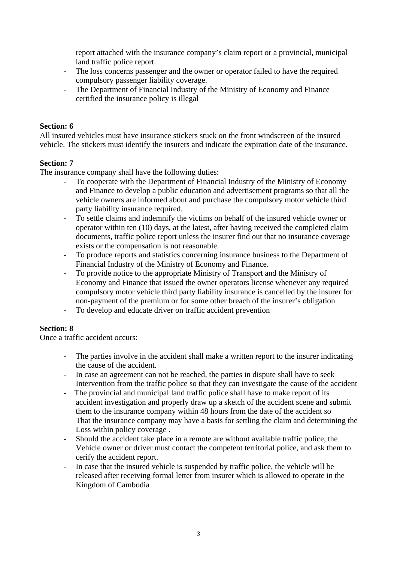report attached with the insurance company's claim report or a provincial, municipal land traffic police report.

- The loss concerns passenger and the owner or operator failed to have the required compulsory passenger liability coverage.
- The Department of Financial Industry of the Ministry of Economy and Finance certified the insurance policy is illegal

#### **Section: 6**

All insured vehicles must have insurance stickers stuck on the front windscreen of the insured vehicle. The stickers must identify the insurers and indicate the expiration date of the insurance.

#### **Section: 7**

The insurance company shall have the following duties:

- To cooperate with the Department of Financial Industry of the Ministry of Economy and Finance to develop a public education and advertisement programs so that all the vehicle owners are informed about and purchase the compulsory motor vehicle third party liability insurance required.
- To settle claims and indemnify the victims on behalf of the insured vehicle owner or operator within ten (10) days, at the latest, after having received the completed claim documents, traffic police report unless the insurer find out that no insurance coverage exists or the compensation is not reasonable.
- To produce reports and statistics concerning insurance business to the Department of Financial Industry of the Ministry of Economy and Finance.
- To provide notice to the appropriate Ministry of Transport and the Ministry of Economy and Finance that issued the owner operators license whenever any required compulsory motor vehicle third party liability insurance is cancelled by the insurer for non-payment of the premium or for some other breach of the insurer's obligation
- To develop and educate driver on traffic accident prevention

#### **Section: 8**

Once a traffic accident occurs:

- The parties involve in the accident shall make a written report to the insurer indicating the cause of the accident.
- In case an agreement can not be reached, the parties in dispute shall have to seek Intervention from the traffic police so that they can investigate the cause of the accident
- The provincial and municipal land traffic police shall have to make report of its accident investigation and properly draw up a sketch of the accident scene and submit them to the insurance company within 48 hours from the date of the accident so That the insurance company may have a basis for settling the claim and determining the Loss within policy coverage .
- Should the accident take place in a remote are without available traffic police, the Vehicle owner or driver must contact the competent territorial police, and ask them to cerify the accident report.
- In case that the insured vehicle is suspended by traffic police, the vehicle will be released after receiving formal letter from insurer which is allowed to operate in the Kingdom of Cambodia